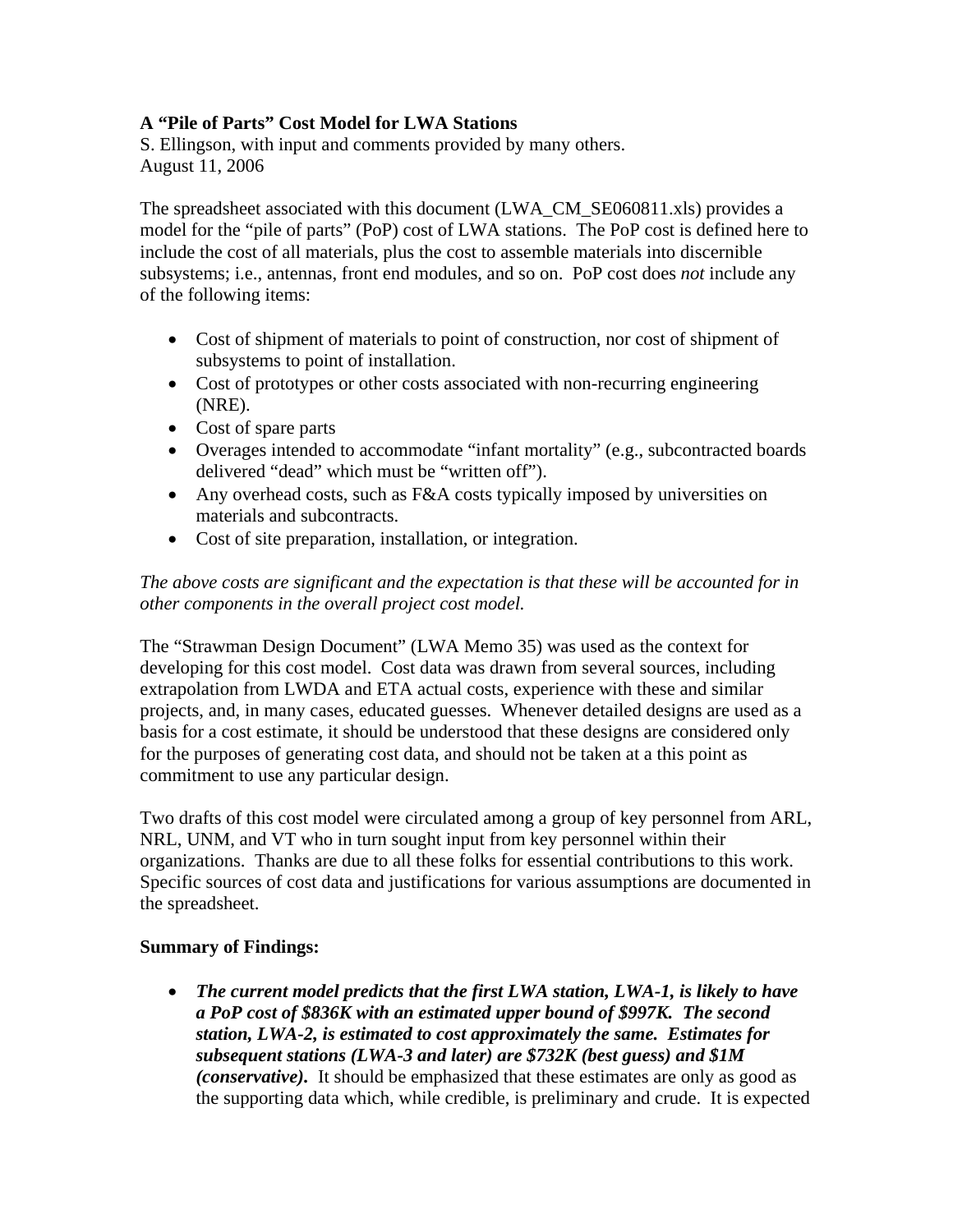## **A "Pile of Parts" Cost Model for LWA Stations**

S. Ellingson, with input and comments provided by many others. August 11, 2006

The spreadsheet associated with this document (LWA\_CM\_SE060811.xls) provides a model for the "pile of parts" (PoP) cost of LWA stations. The PoP cost is defined here to include the cost of all materials, plus the cost to assemble materials into discernible subsystems; i.e., antennas, front end modules, and so on. PoP cost does *not* include any of the following items:

- Cost of shipment of materials to point of construction, nor cost of shipment of subsystems to point of installation.
- Cost of prototypes or other costs associated with non-recurring engineering (NRE).
- Cost of spare parts
- Overages intended to accommodate "infant mortality" (e.g., subcontracted boards delivered "dead" which must be "written off").
- Any overhead costs, such as F&A costs typically imposed by universities on materials and subcontracts.
- Cost of site preparation, installation, or integration.

## *The above costs are significant and the expectation is that these will be accounted for in other components in the overall project cost model.*

The "Strawman Design Document" (LWA Memo 35) was used as the context for developing for this cost model. Cost data was drawn from several sources, including extrapolation from LWDA and ETA actual costs, experience with these and similar projects, and, in many cases, educated guesses. Whenever detailed designs are used as a basis for a cost estimate, it should be understood that these designs are considered only for the purposes of generating cost data, and should not be taken at a this point as commitment to use any particular design.

Two drafts of this cost model were circulated among a group of key personnel from ARL, NRL, UNM, and VT who in turn sought input from key personnel within their organizations. Thanks are due to all these folks for essential contributions to this work. Specific sources of cost data and justifications for various assumptions are documented in the spreadsheet.

## **Summary of Findings:**

• *The current model predicts that the first LWA station, LWA-1, is likely to have a PoP cost of \$836K with an estimated upper bound of \$997K. The second station, LWA-2, is estimated to cost approximately the same. Estimates for subsequent stations (LWA-3 and later) are \$732K (best guess) and \$1M (conservative).* It should be emphasized that these estimates are only as good as the supporting data which, while credible, is preliminary and crude. It is expected